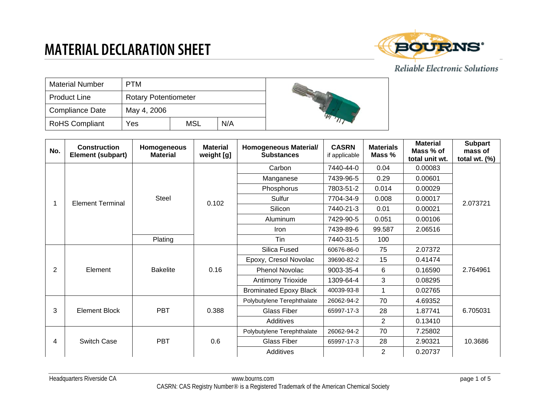

#### Reliable Electronic Solutions

| <b>Material Number</b> | <b>PTM</b>                  |            |  |
|------------------------|-----------------------------|------------|--|
| <b>Product Line</b>    | <b>Rotary Potentiometer</b> |            |  |
| <b>Compliance Date</b> | May 4, 2006                 |            |  |
| <b>RoHS Compliant</b>  | Yes                         | <b>MSL</b> |  |

| No. | <b>Construction</b><br>Element (subpart) | <b>Homogeneous</b><br><b>Material</b> | <b>Material</b><br>weight [g] | Homogeneous Material/<br><b>Substances</b> | <b>CASRN</b><br>if applicable | <b>Materials</b><br>Mass % | <b>Material</b><br>Mass % of<br>total unit wt. | <b>Subpart</b><br>mass of<br>total wt. $(\%)$ |
|-----|------------------------------------------|---------------------------------------|-------------------------------|--------------------------------------------|-------------------------------|----------------------------|------------------------------------------------|-----------------------------------------------|
|     |                                          | Steel                                 |                               | Carbon                                     | 7440-44-0                     | 0.04                       | 0.00083                                        | 2.073721                                      |
|     |                                          |                                       | 0.102                         | Manganese                                  | 7439-96-5                     | 0.29                       | 0.00601                                        |                                               |
|     |                                          |                                       |                               | Phosphorus                                 | 7803-51-2                     | 0.014                      | 0.00029                                        |                                               |
|     | <b>Element Terminal</b>                  |                                       |                               | Sulfur                                     | 7704-34-9                     | 0.008                      | 0.00017                                        |                                               |
|     |                                          |                                       |                               | Silicon                                    | 7440-21-3                     | 0.01                       | 0.00021                                        |                                               |
|     |                                          |                                       |                               | Aluminum                                   | 7429-90-5                     | 0.051                      | 0.00106                                        |                                               |
|     |                                          |                                       |                               | Iron                                       | 7439-89-6                     | 99.587                     | 2.06516                                        |                                               |
|     |                                          | Plating                               |                               | Tin                                        | 7440-31-5                     | 100                        |                                                |                                               |
|     |                                          | <b>Bakelite</b>                       | 0.16                          | Silica Fused                               | 60676-86-0                    | 75                         | 2.07372                                        | 2.764961                                      |
|     |                                          |                                       |                               | Epoxy, Cresol Novolac                      | 39690-82-2                    | 15                         | 0.41474                                        |                                               |
| 2   | Element                                  |                                       |                               | <b>Phenol Novolac</b>                      | 9003-35-4                     | 6                          | 0.16590                                        |                                               |
|     |                                          |                                       |                               | Antimony Trioxide                          | 1309-64-4                     | 3                          | 0.08295                                        |                                               |
|     |                                          |                                       |                               | <b>Brominated Epoxy Black</b>              | 40039-93-8                    | 1                          | 0.02765                                        |                                               |
|     | <b>Element Block</b>                     | <b>PBT</b>                            | 0.388                         | Polybutylene Terephthalate                 | 26062-94-2                    | 70                         | 4.69352                                        | 6.705031<br>10.3686                           |
| 3   |                                          |                                       |                               | <b>Glass Fiber</b>                         | 65997-17-3                    | 28                         | 1.87741                                        |                                               |
|     |                                          |                                       |                               | Additives                                  |                               | $\overline{2}$             | 0.13410                                        |                                               |
| 4   | <b>Switch Case</b>                       | <b>PBT</b>                            | 0.6                           | Polybutylene Terephthalate                 | 26062-94-2                    | 70                         | 7.25802                                        |                                               |
|     |                                          |                                       |                               | <b>Glass Fiber</b>                         | 65997-17-3                    | 28                         | 2.90321                                        |                                               |
|     |                                          |                                       |                               | Additives                                  |                               | $\overline{2}$             | 0.20737                                        |                                               |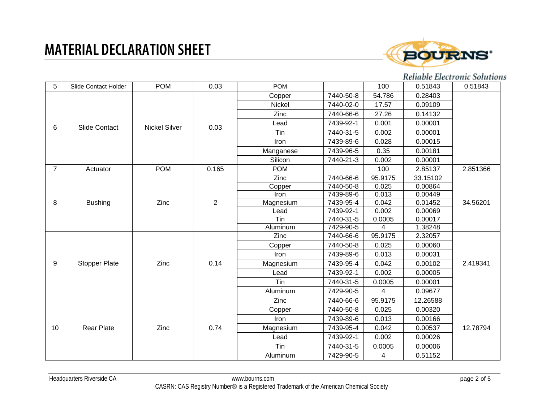

### Reliable Electronic Solutions

| 5              | Slide Contact Holder | <b>POM</b>           | 0.03           | <b>POM</b> |           | 100     | 0.51843  | 0.51843  |
|----------------|----------------------|----------------------|----------------|------------|-----------|---------|----------|----------|
|                |                      | <b>Nickel Silver</b> | 0.03           | Copper     | 7440-50-8 | 54.786  | 0.28403  |          |
|                |                      |                      |                | Nickel     | 7440-02-0 | 17.57   | 0.09109  |          |
|                |                      |                      |                | Zinc       | 7440-66-6 | 27.26   | 0.14132  |          |
|                | Slide Contact        |                      |                | Lead       | 7439-92-1 | 0.001   | 0.00001  |          |
| 6              |                      |                      |                | Tin        | 7440-31-5 | 0.002   | 0.00001  |          |
|                |                      |                      |                | Iron       | 7439-89-6 | 0.028   | 0.00015  |          |
|                |                      |                      |                | Manganese  | 7439-96-5 | 0.35    | 0.00181  |          |
|                |                      |                      |                | Silicon    | 7440-21-3 | 0.002   | 0.00001  |          |
| $\overline{7}$ | Actuator             | <b>POM</b>           | 0.165          | <b>POM</b> |           | 100     | 2.85137  | 2.851366 |
|                |                      |                      |                | Zinc       | 7440-66-6 | 95.9175 | 33.15102 | 34.56201 |
|                |                      |                      | $\overline{c}$ | Copper     | 7440-50-8 | 0.025   | 0.00864  |          |
|                |                      | Zinc                 |                | Iron       | 7439-89-6 | 0.013   | 0.00449  |          |
| 8              | <b>Bushing</b>       |                      |                | Magnesium  | 7439-95-4 | 0.042   | 0.01452  |          |
|                |                      |                      |                | Lead       | 7439-92-1 | 0.002   | 0.00069  |          |
|                |                      |                      |                | Tin        | 7440-31-5 | 0.0005  | 0.00017  |          |
|                |                      |                      |                | Aluminum   | 7429-90-5 | 4       | 1.38248  |          |
|                |                      | Zinc                 | 0.14           | Zinc       | 7440-66-6 | 95.9175 | 2.32057  | 2.419341 |
|                |                      |                      |                | Copper     | 7440-50-8 | 0.025   | 0.00060  |          |
|                |                      |                      |                | Iron       | 7439-89-6 | 0.013   | 0.00031  |          |
| 9              | <b>Stopper Plate</b> |                      |                | Magnesium  | 7439-95-4 | 0.042   | 0.00102  |          |
|                |                      |                      |                | Lead       | 7439-92-1 | 0.002   | 0.00005  |          |
|                |                      |                      |                | Tin        | 7440-31-5 | 0.0005  | 0.00001  |          |
|                |                      |                      |                | Aluminum   | 7429-90-5 | 4       | 0.09677  |          |
|                |                      |                      |                | Zinc       | 7440-66-6 | 95.9175 | 12.26588 | 12.78794 |
| 10             | <b>Rear Plate</b>    | Zinc                 | 0.74           | Copper     | 7440-50-8 | 0.025   | 0.00320  |          |
|                |                      |                      |                | Iron       | 7439-89-6 | 0.013   | 0.00166  |          |
|                |                      |                      |                | Magnesium  | 7439-95-4 | 0.042   | 0.00537  |          |
|                |                      |                      |                | Lead       | 7439-92-1 | 0.002   | 0.00026  |          |
|                |                      |                      |                | Tin        | 7440-31-5 | 0.0005  | 0.00006  |          |
|                |                      |                      |                | Aluminum   | 7429-90-5 | 4       | 0.51152  |          |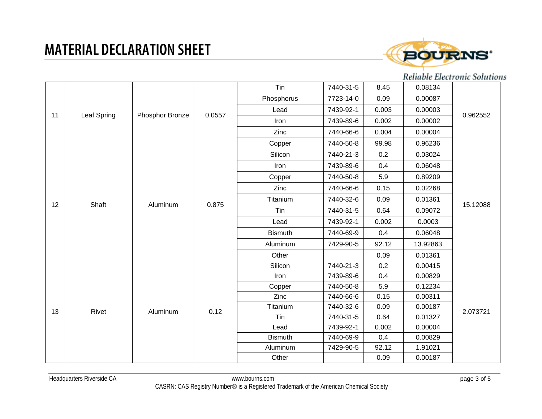

### Reliable Electronic Solutions

| 11 | <b>Leaf Spring</b> | Phosphor Bronze           | 0.0557 | Tin            | 7440-31-5 | 8.45  | 0.08134  |          |
|----|--------------------|---------------------------|--------|----------------|-----------|-------|----------|----------|
|    |                    |                           |        | Phosphorus     | 7723-14-0 | 0.09  | 0.00087  |          |
|    |                    |                           |        | Lead           | 7439-92-1 | 0.003 | 0.00003  | 0.962552 |
|    |                    |                           |        | Iron           | 7439-89-6 | 0.002 | 0.00002  |          |
|    |                    |                           |        | Zinc           | 7440-66-6 | 0.004 | 0.00004  |          |
|    |                    |                           |        | Copper         | 7440-50-8 | 99.98 | 0.96236  |          |
|    |                    |                           | 0.875  | Silicon        | 7440-21-3 | 0.2   | 0.03024  |          |
|    |                    |                           |        | Iron           | 7439-89-6 | 0.4   | 0.06048  |          |
|    |                    | Aluminum                  |        | Copper         | 7440-50-8 | 5.9   | 0.89209  | 15.12088 |
|    |                    |                           |        | Zinc           | 7440-66-6 | 0.15  | 0.02268  |          |
| 12 | Shaft              |                           |        | Titanium       | 7440-32-6 | 0.09  | 0.01361  |          |
|    |                    |                           |        | Tin            | 7440-31-5 | 0.64  | 0.09072  |          |
|    |                    |                           |        | Lead           | 7439-92-1 | 0.002 | 0.0003   |          |
|    |                    |                           |        | <b>Bismuth</b> | 7440-69-9 | 0.4   | 0.06048  |          |
|    |                    |                           |        | Aluminum       | 7429-90-5 | 92.12 | 13.92863 |          |
|    |                    |                           |        | Other          |           | 0.09  | 0.01361  |          |
|    |                    | 0.12<br>Rivet<br>Aluminum |        | Silicon        | 7440-21-3 | 0.2   | 0.00415  | 2.073721 |
|    |                    |                           |        | Iron           | 7439-89-6 | 0.4   | 0.00829  |          |
|    |                    |                           |        | Copper         | 7440-50-8 | 5.9   | 0.12234  |          |
|    |                    |                           |        | Zinc           | 7440-66-6 | 0.15  | 0.00311  |          |
| 13 |                    |                           |        | Titanium       | 7440-32-6 | 0.09  | 0.00187  |          |
|    |                    |                           |        | Tin            | 7440-31-5 | 0.64  | 0.01327  |          |
|    |                    |                           |        | Lead           | 7439-92-1 | 0.002 | 0.00004  |          |
|    |                    |                           |        | <b>Bismuth</b> | 7440-69-9 | 0.4   | 0.00829  |          |
|    |                    |                           |        | Aluminum       | 7429-90-5 | 92.12 | 1.91021  |          |
|    |                    |                           |        | Other          |           | 0.09  | 0.00187  |          |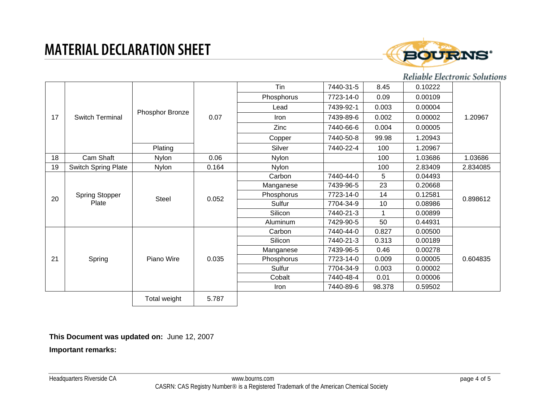

#### Reliable Electronic Solutions

|    |                                |                 |       | Tin          | 7440-31-5 | 8.45   | 0.10222 |          |
|----|--------------------------------|-----------------|-------|--------------|-----------|--------|---------|----------|
| 17 | <b>Switch Terminal</b>         | Phosphor Bronze | 0.07  | Phosphorus   | 7723-14-0 | 0.09   | 0.00109 | 1.20967  |
|    |                                |                 |       | Lead         | 7439-92-1 | 0.003  | 0.00004 |          |
|    |                                |                 |       | Iron         | 7439-89-6 | 0.002  | 0.00002 |          |
|    |                                |                 |       | Zinc         | 7440-66-6 | 0.004  | 0.00005 |          |
|    |                                |                 |       | Copper       | 7440-50-8 | 99.98  | 1.20943 |          |
|    |                                | Plating         |       | Silver       | 7440-22-4 | 100    | 1.20967 |          |
| 18 | Cam Shaft                      | <b>Nylon</b>    | 0.06  | <b>Nylon</b> |           | 100    | 1.03686 | 1.03686  |
| 19 | Switch Spring Plate            | <b>Nylon</b>    | 0.164 | Nylon        |           | 100    | 2.83409 | 2.834085 |
|    |                                |                 |       | Carbon       | 7440-44-0 | 5      | 0.04493 |          |
|    | <b>Spring Stopper</b><br>Plate | <b>Steel</b>    | 0.052 | Manganese    | 7439-96-5 | 23     | 0.20668 | 0.898612 |
| 20 |                                |                 |       | Phosphorus   | 7723-14-0 | 14     | 0.12581 |          |
|    |                                |                 |       | Sulfur       | 7704-34-9 | 10     | 0.08986 |          |
|    |                                |                 |       | Silicon      | 7440-21-3 |        | 0.00899 |          |
|    |                                |                 |       | Aluminum     | 7429-90-5 | 50     | 0.44931 |          |
|    |                                |                 |       | Carbon       | 7440-44-0 | 0.827  | 0.00500 |          |
|    | Spring                         | Piano Wire      | 0.035 | Silicon      | 7440-21-3 | 0.313  | 0.00189 | 0.604835 |
|    |                                |                 |       | Manganese    | 7439-96-5 | 0.46   | 0.00278 |          |
| 21 |                                |                 |       | Phosphorus   | 7723-14-0 | 0.009  | 0.00005 |          |
|    |                                |                 |       | Sulfur       | 7704-34-9 | 0.003  | 0.00002 |          |
|    |                                |                 |       | Cobalt       | 7440-48-4 | 0.01   | 0.00006 |          |
|    |                                |                 |       | Iron         | 7440-89-6 | 98.378 | 0.59502 |          |
|    |                                | Total weight    | 5.787 |              |           |        |         |          |

#### **This Document was updated on:** June 12, 2007

#### **Important remarks:**